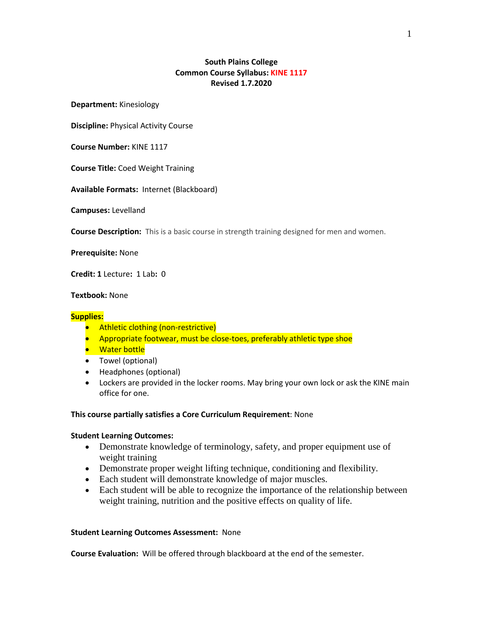# **South Plains College Common Course Syllabus: KINE 1117 Revised 1.7.2020**

**Department:** Kinesiology

**Discipline:** Physical Activity Course

**Course Number:** KINE 1117

**Course Title:** Coed Weight Training

**Available Formats:** Internet (Blackboard)

**Campuses:** Levelland

**Course Description:** This is a basic course in strength training designed for men and women.

**Prerequisite:** None

**Credit: 1** Lecture**:** 1 Lab**:** 0

# **Textbook:** None

#### **Supplies:**

- Athletic clothing (non-restrictive)
- Appropriate footwear, must be close-toes, preferably athletic type shoe
- Water bottle
- Towel (optional)
- Headphones (optional)
- Lockers are provided in the locker rooms. May bring your own lock or ask the KINE main office for one.

## **This course partially satisfies a Core Curriculum Requirement**: None

## **Student Learning Outcomes:**

- Demonstrate knowledge of terminology, safety, and proper equipment use of weight training
- Demonstrate proper weight lifting technique, conditioning and flexibility.
- Each student will demonstrate knowledge of major muscles.
- Each student will be able to recognize the importance of the relationship between weight training, nutrition and the positive effects on quality of life.

#### **Student Learning Outcomes Assessment:** None

**Course Evaluation:** Will be offered through blackboard at the end of the semester.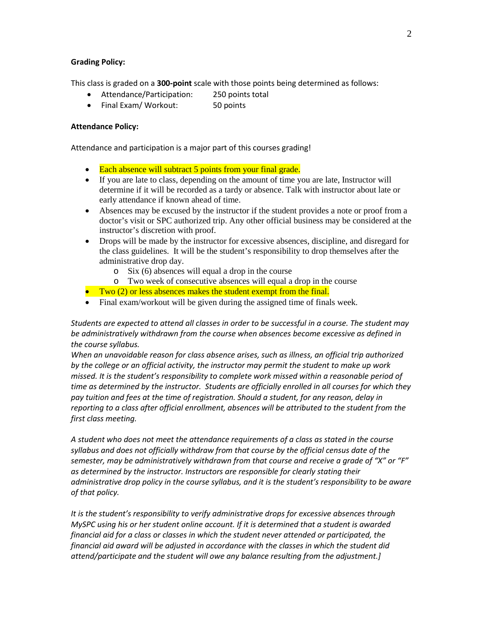## **Grading Policy:**

This class is graded on a **300-point** scale with those points being determined as follows:

- Attendance/Participation: 250 points total
- Final Exam/ Workout: 50 points

# **Attendance Policy:**

Attendance and participation is a major part of this courses grading!

- Each absence will subtract 5 points from your final grade.
- If you are late to class, depending on the amount of time you are late, Instructor will determine if it will be recorded as a tardy or absence. Talk with instructor about late or early attendance if known ahead of time.
- Absences may be excused by the instructor if the student provides a note or proof from a doctor's visit or SPC authorized trip. Any other official business may be considered at the instructor's discretion with proof.
- Drops will be made by the instructor for excessive absences, discipline, and disregard for the class guidelines. It will be the student's responsibility to drop themselves after the administrative drop day.
	- o Six (6) absences will equal a drop in the course
	- o Two week of consecutive absences will equal a drop in the course
- Two (2) or less absences makes the student exempt from the final.
- Final exam/workout will be given during the assigned time of finals week.

*Students are expected to attend all classes in order to be successful in a course. The student may be administratively withdrawn from the course when absences become excessive as defined in the course syllabus.*

*When an unavoidable reason for class absence arises, such as illness, an official trip authorized by the college or an official activity, the instructor may permit the student to make up work missed. It is the student's responsibility to complete work missed within a reasonable period of time as determined by the instructor. Students are officially enrolled in all courses for which they pay tuition and fees at the time of registration. Should a student, for any reason, delay in reporting to a class after official enrollment, absences will be attributed to the student from the first class meeting.*

*A student who does not meet the attendance requirements of a class as stated in the course syllabus and does not officially withdraw from that course by the official census date of the semester, may be administratively withdrawn from that course and receive a grade of "X" or "F" as determined by the instructor. Instructors are responsible for clearly stating their administrative drop policy in the course syllabus, and it is the student's responsibility to be aware of that policy.* 

*It is the student's responsibility to verify administrative drops for excessive absences through MySPC using his or her student online account. If it is determined that a student is awarded financial aid for a class or classes in which the student never attended or participated, the financial aid award will be adjusted in accordance with the classes in which the student did attend/participate and the student will owe any balance resulting from the adjustment.]*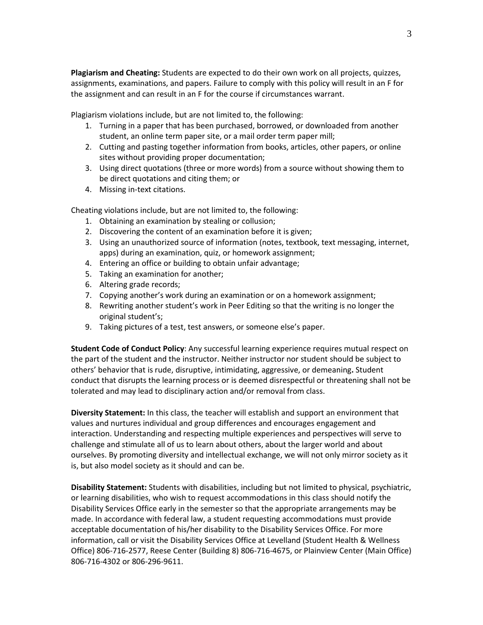**Plagiarism and Cheating:** Students are expected to do their own work on all projects, quizzes, assignments, examinations, and papers. Failure to comply with this policy will result in an F for the assignment and can result in an F for the course if circumstances warrant.

Plagiarism violations include, but are not limited to, the following:

- 1. Turning in a paper that has been purchased, borrowed, or downloaded from another student, an online term paper site, or a mail order term paper mill;
- 2. Cutting and pasting together information from books, articles, other papers, or online sites without providing proper documentation;
- 3. Using direct quotations (three or more words) from a source without showing them to be direct quotations and citing them; or
- 4. Missing in-text citations.

Cheating violations include, but are not limited to, the following:

- 1. Obtaining an examination by stealing or collusion;
- 2. Discovering the content of an examination before it is given;
- 3. Using an unauthorized source of information (notes, textbook, text messaging, internet, apps) during an examination, quiz, or homework assignment;
- 4. Entering an office or building to obtain unfair advantage;
- 5. Taking an examination for another;
- 6. Altering grade records;
- 7. Copying another's work during an examination or on a homework assignment;
- 8. Rewriting another student's work in Peer Editing so that the writing is no longer the original student's;
- 9. Taking pictures of a test, test answers, or someone else's paper.

**Student Code of Conduct Policy**: Any successful learning experience requires mutual respect on the part of the student and the instructor. Neither instructor nor student should be subject to others' behavior that is rude, disruptive, intimidating, aggressive, or demeaning**.** Student conduct that disrupts the learning process or is deemed disrespectful or threatening shall not be tolerated and may lead to disciplinary action and/or removal from class.

**Diversity Statement:** In this class, the teacher will establish and support an environment that values and nurtures individual and group differences and encourages engagement and interaction. Understanding and respecting multiple experiences and perspectives will serve to challenge and stimulate all of us to learn about others, about the larger world and about ourselves. By promoting diversity and intellectual exchange, we will not only mirror society as it is, but also model society as it should and can be.

**Disability Statement:** Students with disabilities, including but not limited to physical, psychiatric, or learning disabilities, who wish to request accommodations in this class should notify the Disability Services Office early in the semester so that the appropriate arrangements may be made. In accordance with federal law, a student requesting accommodations must provide acceptable documentation of his/her disability to the Disability Services Office. For more information, call or visit the Disability Services Office at Levelland (Student Health & Wellness Office) 806-716-2577, Reese Center (Building 8) 806-716-4675, or Plainview Center (Main Office) 806-716-4302 or 806-296-9611.